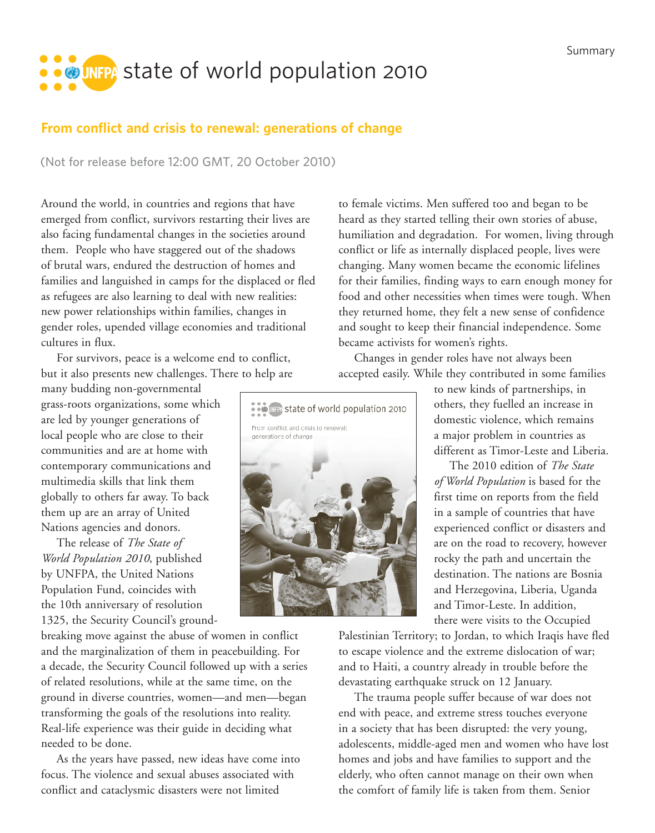## **SOUTER** state of world population 2010

## **From conflict and crisis to renewal: generations of change**

**(Not for release before 12:00 GMT, 20 October 2010)**

Around the world, in countries and regions that have emerged from conflict, survivors restarting their lives are also facing fundamental changes in the societies around them. People who have staggered out of the shadows of brutal wars, endured the destruction of homes and families and languished in camps for the displaced or fled as refugees are also learning to deal with new realities: new power relationships within families, changes in gender roles, upended village economies and traditional cultures in flux.

For survivors, peace is a welcome end to conflict, but it also presents new challenges. There to help are

many budding non-governmental grass-roots organizations, some which are led by younger generations of local people who are close to their communities and are at home with contemporary communications and multimedia skills that link them globally to others far away. To back them up are an array of United Nations agencies and donors.

The release of *The State of World Population 2010*, published by UNFPA, the United Nations Population Fund, coincides with the 10th anniversary of resolution 1325, the Security Council's ground-

breaking move against the abuse of women in conflict and the marginalization of them in peacebuilding. For a decade, the Security Council followed up with a series of related resolutions, while at the same time, on the ground in diverse countries, women—and men—began transforming the goals of the resolutions into reality. Real-life experience was their guide in deciding what needed to be done.

As the years have passed, new ideas have come into focus. The violence and sexual abuses associated with conflict and cataclysmic disasters were not limited

to female victims. Men suffered too and began to be heard as they started telling their own stories of abuse, humiliation and degradation. For women, living through conflict or life as internally displaced people, lives were changing. Many women became the economic lifelines for their families, finding ways to earn enough money for food and other necessities when times were tough. When they returned home, they felt a new sense of confidence and sought to keep their financial independence. Some became activists for women's rights.

Changes in gender roles have not always been accepted easily. While they contributed in some families



to new kinds of partnerships, in others, they fuelled an increase in domestic violence, which remains a major problem in countries as different as Timor-Leste and Liberia.

The 2010 edition of *The State of World Population* is based for the first time on reports from the field in a sample of countries that have experienced conflict or disasters and are on the road to recovery, however rocky the path and uncertain the destination. The nations are Bosnia and Herzegovina, Liberia, Uganda and Timor-Leste. In addition, there were visits to the Occupied

Palestinian Territory; to Jordan, to which Iraqis have fled to escape violence and the extreme dislocation of war; and to Haiti, a country already in trouble before the devastating earthquake struck on 12 January.

The trauma people suffer because of war does not end with peace, and extreme stress touches everyone in a society that has been disrupted: the very young, adolescents, middle-aged men and women who have lost homes and jobs and have families to support and the elderly, who often cannot manage on their own when the comfort of family life is taken from them. Senior